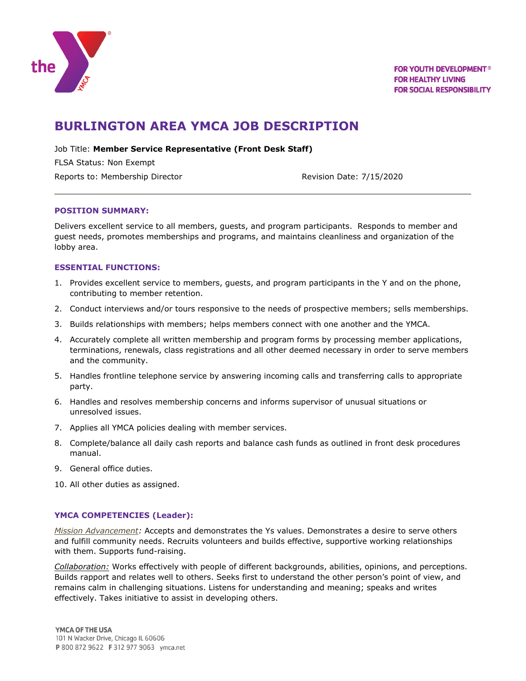

# **BURLINGTON AREA YMCA JOB DESCRIPTION**

Job Title: **Member Service Representative (Front Desk Staff)**

FLSA Status: Non Exempt

Reports to: Membership Director **Revision Date: 7/15/2020** 

## **POSITION SUMMARY:**

Delivers excellent service to all members, guests, and program participants. Responds to member and guest needs, promotes memberships and programs, and maintains cleanliness and organization of the lobby area.

## **ESSENTIAL FUNCTIONS:**

- 1. Provides excellent service to members, guests, and program participants in the Y and on the phone, contributing to member retention.
- 2. Conduct interviews and/or tours responsive to the needs of prospective members; sells memberships.
- 3. Builds relationships with members; helps members connect with one another and the YMCA.
- 4. Accurately complete all written membership and program forms by processing member applications, terminations, renewals, class registrations and all other deemed necessary in order to serve members and the community.
- 5. Handles frontline telephone service by answering incoming calls and transferring calls to appropriate party.
- 6. Handles and resolves membership concerns and informs supervisor of unusual situations or unresolved issues.
- 7. Applies all YMCA policies dealing with member services.
- 8. Complete/balance all daily cash reports and balance cash funds as outlined in front desk procedures manual.
- 9. General office duties.

10. All other duties as assigned.

## **YMCA COMPETENCIES (Leader):**

*Mission Advancement:* Accepts and demonstrates the Ys values. Demonstrates a desire to serve others and fulfill community needs. Recruits volunteers and builds effective, supportive working relationships with them. Supports fund-raising.

*Collaboration:* Works effectively with people of different backgrounds, abilities, opinions, and perceptions. Builds rapport and relates well to others. Seeks first to understand the other person's point of view, and remains calm in challenging situations. Listens for understanding and meaning; speaks and writes effectively. Takes initiative to assist in developing others.